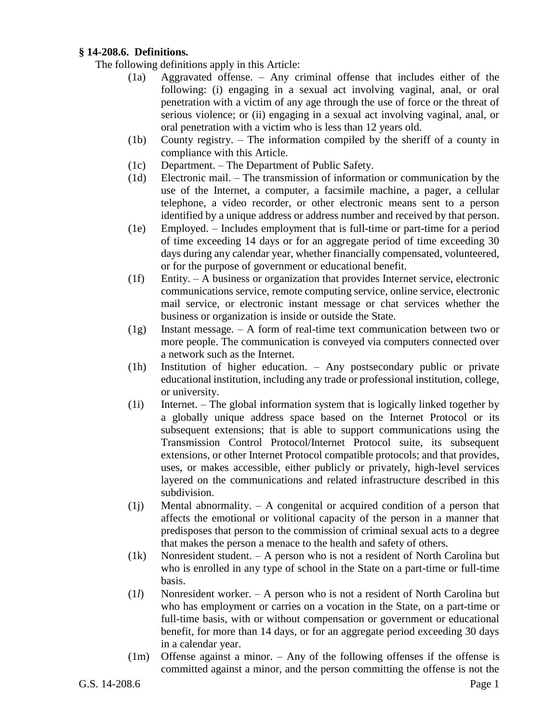## **§ 14-208.6. Definitions.**

The following definitions apply in this Article:

- (1a) Aggravated offense. Any criminal offense that includes either of the following: (i) engaging in a sexual act involving vaginal, anal, or oral penetration with a victim of any age through the use of force or the threat of serious violence; or (ii) engaging in a sexual act involving vaginal, anal, or oral penetration with a victim who is less than 12 years old.
- (1b) County registry. The information compiled by the sheriff of a county in compliance with this Article.
- (1c) Department. The Department of Public Safety.
- (1d) Electronic mail. The transmission of information or communication by the use of the Internet, a computer, a facsimile machine, a pager, a cellular telephone, a video recorder, or other electronic means sent to a person identified by a unique address or address number and received by that person.
- (1e) Employed. Includes employment that is full-time or part-time for a period of time exceeding 14 days or for an aggregate period of time exceeding 30 days during any calendar year, whether financially compensated, volunteered, or for the purpose of government or educational benefit.
- (1f) Entity. A business or organization that provides Internet service, electronic communications service, remote computing service, online service, electronic mail service, or electronic instant message or chat services whether the business or organization is inside or outside the State.
- (1g) Instant message. A form of real-time text communication between two or more people. The communication is conveyed via computers connected over a network such as the Internet.
- (1h) Institution of higher education. Any postsecondary public or private educational institution, including any trade or professional institution, college, or university.
- (1i) Internet. The global information system that is logically linked together by a globally unique address space based on the Internet Protocol or its subsequent extensions; that is able to support communications using the Transmission Control Protocol/Internet Protocol suite, its subsequent extensions, or other Internet Protocol compatible protocols; and that provides, uses, or makes accessible, either publicly or privately, high-level services layered on the communications and related infrastructure described in this subdivision.
- $(1j)$  Mental abnormality.  $-$  A congenital or acquired condition of a person that affects the emotional or volitional capacity of the person in a manner that predisposes that person to the commission of criminal sexual acts to a degree that makes the person a menace to the health and safety of others.
- (1k) Nonresident student. A person who is not a resident of North Carolina but who is enrolled in any type of school in the State on a part-time or full-time basis.
- (1*l*) Nonresident worker. A person who is not a resident of North Carolina but who has employment or carries on a vocation in the State, on a part-time or full-time basis, with or without compensation or government or educational benefit, for more than 14 days, or for an aggregate period exceeding 30 days in a calendar year.
- (1m) Offense against a minor. Any of the following offenses if the offense is committed against a minor, and the person committing the offense is not the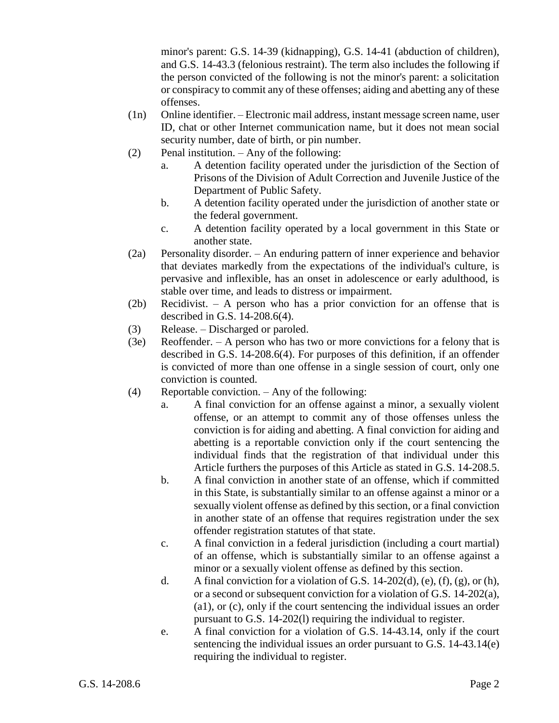minor's parent: G.S. 14-39 (kidnapping), G.S. 14-41 (abduction of children), and G.S. 14-43.3 (felonious restraint). The term also includes the following if the person convicted of the following is not the minor's parent: a solicitation or conspiracy to commit any of these offenses; aiding and abetting any of these offenses.

- (1n) Online identifier. Electronic mail address, instant message screen name, user ID, chat or other Internet communication name, but it does not mean social security number, date of birth, or pin number.
- (2) Penal institution. Any of the following:
	- a. A detention facility operated under the jurisdiction of the Section of Prisons of the Division of Adult Correction and Juvenile Justice of the Department of Public Safety.
	- b. A detention facility operated under the jurisdiction of another state or the federal government.
	- c. A detention facility operated by a local government in this State or another state.
- (2a) Personality disorder. An enduring pattern of inner experience and behavior that deviates markedly from the expectations of the individual's culture, is pervasive and inflexible, has an onset in adolescence or early adulthood, is stable over time, and leads to distress or impairment.
- (2b) Recidivist. A person who has a prior conviction for an offense that is described in G.S. 14-208.6(4).
- (3) Release. Discharged or paroled.
- (3e) Reoffender. A person who has two or more convictions for a felony that is described in G.S. 14-208.6(4). For purposes of this definition, if an offender is convicted of more than one offense in a single session of court, only one conviction is counted.
- (4) Reportable conviction. Any of the following:
	- a. A final conviction for an offense against a minor, a sexually violent offense, or an attempt to commit any of those offenses unless the conviction is for aiding and abetting. A final conviction for aiding and abetting is a reportable conviction only if the court sentencing the individual finds that the registration of that individual under this Article furthers the purposes of this Article as stated in G.S. 14-208.5.
	- b. A final conviction in another state of an offense, which if committed in this State, is substantially similar to an offense against a minor or a sexually violent offense as defined by this section, or a final conviction in another state of an offense that requires registration under the sex offender registration statutes of that state.
	- c. A final conviction in a federal jurisdiction (including a court martial) of an offense, which is substantially similar to an offense against a minor or a sexually violent offense as defined by this section.
	- d. A final conviction for a violation of G.S. 14-202(d), (e), (f), (g), or (h), or a second or subsequent conviction for a violation of G.S. 14-202(a), (a1), or (c), only if the court sentencing the individual issues an order pursuant to G.S. 14-202(l) requiring the individual to register.
	- e. A final conviction for a violation of G.S. 14-43.14, only if the court sentencing the individual issues an order pursuant to G.S. 14-43.14(e) requiring the individual to register.